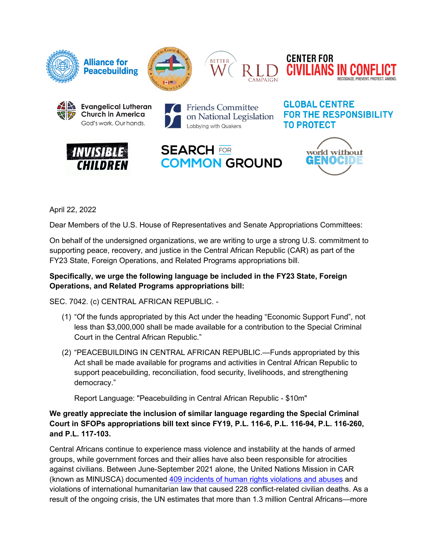









**Friends Committee** on National Legislation Lobbying with Quakers







world without

GENOCIDE

**GLOBAL CENTRE** 



Dear Members of the U.S. House of Representatives and Senate Appropriations Committees:

On behalf of the undersigned organizations, we are writing to urge a strong U.S. commitment to supporting peace, recovery, and justice in the Central African Republic (CAR) as part of the FY23 State, Foreign Operations, and Related Programs appropriations bill.

## **Specifically, we urge the following language be included in the FY23 State, Foreign Operations, and Related Programs appropriations bill:**

SEC. 7042. (c) CENTRAL AFRICAN REPUBLIC. -

- (1) "Of the funds appropriated by this Act under the heading "Economic Support Fund", not less than \$3,000,000 shall be made available for a contribution to the Special Criminal Court in the Central African Republic."
- (2) "PEACEBUILDING IN CENTRAL AFRICAN REPUBLIC.—Funds appropriated by this Act shall be made available for programs and activities in Central African Republic to support peacebuilding, reconciliation, food security, livelihoods, and strengthening democracy."

Report Language: "Peacebuilding in Central African Republic - \$10m"

**We greatly appreciate the inclusion of similar language regarding the Special Criminal Court in SFOPs appropriations bill text since FY19, P.L. 116-6, P.L. 116-94, P.L. 116-260, and P.L. 117-103.**

Central Africans continue to experience mass violence and instability at the hands of armed groups, while government forces and their allies have also been responsible for atrocities against civilians. Between June-September 2021 alone, the United Nations Mission in CAR (known as MINUSCA) documented 409 [incidents of human rights violations and abuses](https://www.securitycouncilreport.org/atf/cf/%7B65BFCF9B-6D27-4E9C-8CD3-CF6E4FF96FF9%7D/S_2021_867_E.pdf) and violations of international humanitarian law that caused 228 conflict-related civilian deaths. As a result of the ongoing crisis, the UN estimates that more than 1.3 million Central Africans—more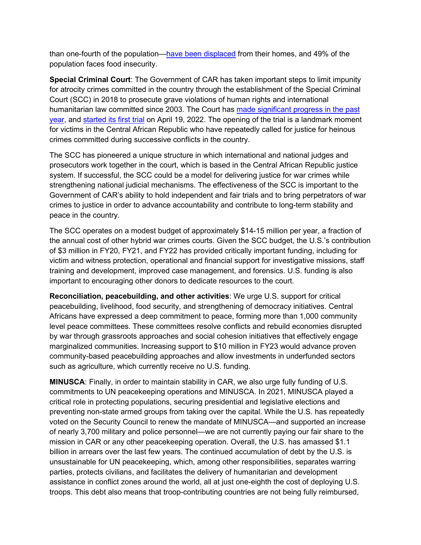than one-fourth of the population[—have been displaced](https://reports.unocha.org/en/country/car) from their homes, and 49% of the population faces food insecurity.

**Special Criminal Court**: The Government of CAR has taken important steps to limit impunity for atrocity crimes committed in the country through the establishment of the Special Criminal Court (SCC) in 2018 to prosecute grave violations of human rights and international humanitarian law committed since 2003. The Court has [made significant progress in the past](https://www.hrw.org/news/2021/09/14/central-african-republic-important-step-justice)  [year,](https://www.hrw.org/news/2021/09/14/central-african-republic-important-step-justice) and started [its first trial](https://www.hrw.org/news/2022/04/12/central-african-republic-first-trial-special-criminal-court#whatisthefirst) on April 19, 2022. The opening of the trial is a landmark moment for victims in the Central African Republic who have repeatedly called for justice for heinous crimes committed during successive conflicts in the country.

The SCC has pioneered a unique structure in which international and national judges and prosecutors work together in the court, which is based in the Central African Republic justice system. If successful, the SCC could be a model for delivering justice for war crimes while strengthening national judicial mechanisms. The effectiveness of the SCC is important to the Government of CAR's ability to hold independent and fair trials and to bring perpetrators of war crimes to justice in order to advance accountability and contribute to long-term stability and peace in the country.

The SCC operates on a modest budget of approximately \$14-15 million per year, a fraction of the annual cost of other hybrid war crimes courts. Given the SCC budget, the U.S.'s contribution of \$3 million in FY20, FY21, and FY22 has provided critically important funding, including for victim and witness protection, operational and financial support for investigative missions, staff training and development, improved case management, and forensics. U.S. funding is also important to encouraging other donors to dedicate resources to the court.

**Reconciliation, peacebuilding, and other activities**: We urge U.S. support for critical peacebuilding, livelihood, food security, and strengthening of democracy initiatives. Central Africans have expressed a deep commitment to peace, forming more than 1,000 community level peace committees. These committees resolve conflicts and rebuild economies disrupted by war through grassroots approaches and social cohesion initiatives that effectively engage marginalized communities. Increasing support to \$10 million in FY23 would advance proven community-based peacebuilding approaches and allow investments in underfunded sectors such as agriculture, which currently receive no U.S. funding.

**MINUSCA**: Finally, in order to maintain stability in CAR, we also urge fully funding of U.S. commitments to UN peacekeeping operations and MINUSCA. In 2021, MINUSCA played a critical role in protecting populations, securing presidential and legislative elections and preventing non-state armed groups from taking over the capital. While the U.S. has repeatedly voted on the Security Council to renew the mandate of MINUSCA—and supported an increase of nearly 3,700 military and police personnel—we are not currently paying our fair share to the mission in CAR or any other peacekeeping operation. Overall, the U.S. has amassed \$1.1 billion in arrears over the last few years. The continued accumulation of debt by the U.S. is unsustainable for UN peacekeeping, which, among other responsibilities, separates warring parties, protects civilians, and facilitates the delivery of humanitarian and development assistance in conflict zones around the world, all at just one-eighth the cost of deploying U.S. troops. This debt also means that troop-contributing countries are not being fully reimbursed,